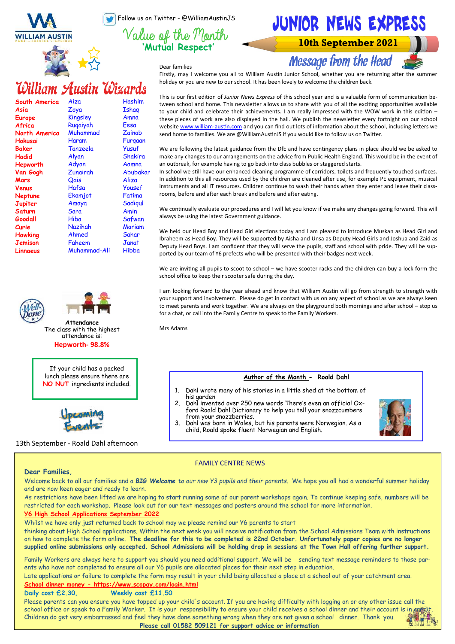Follow us on Twitter - @WilliamAustinJS

**'Mutual Respect'**

JUNIOR NEWS EXPRESS

**10th September 2021** 

**Message from the Head** 

Dear families

# William Austin Wizards

| South America | Aiza         | Hashim   |
|---------------|--------------|----------|
| Asia          | Zoya         | Ishag    |
| Europe        | Kingsley     | Amna     |
| Africa        | Rugaiyah     | Eesa     |
| North America | Muhammad     | Zainab   |
| Hokusai       | Haram        | Furgaan  |
| Baker         | Tanzeela     | Yusuf    |
| Hadid         | Alyan        | Shakira  |
| Hepworth      | Adyan        | Aamna    |
| Van Gogh      | Zunairah     | Abubakar |
| Mars          | Qais         | Aliza    |
| Venus         | Hafsa        | Yousef   |
| Neptune       | Ekamjot      | Fatima   |
| Jupiter       | Amaya        | Sadigul  |
| Saturn        | Sara         | Amin     |
| Goodall       | Hiba         | Safwan   |
| Curie         | Nazihah      | Mariam   |
| Hawking       | Ahmed        | Sahar    |
| Jemison       | Faheem       | Janat    |
| Linnaeus      | Muhammad-Ali | Hibba    |





**Attendance** The class with the highest attendance is: **Hepworth- 98.8%**

If your child has a packed lunch please ensure there are **NO NUT** ingredients included.



13th September - Roald Dahl afternoon

Firstly, may I welcome you all to William Austin Junior School, whether you are returning after the summer holiday or you are new to our school. It has been lovely to welcome the children back.

This is our first edition of *Junior News Express* of this school year and is a valuable form of communication between school and home. This newsletter allows us to share with you of all the exciting opportunities available to your child and celebrate their achievements. I am really impressed with the WOW work in this edition these pieces of work are also displayed in the hall. We publish the newsletter every fortnight on our school website [www.william](http://www.william-austin.com)-austin.com and you can find out lots of information about the school, including letters we send home to families. We are @WilliamAustinJS if you would like to follow us on Twitter.

We are following the latest guidance from the DfE and have contingency plans in place should we be asked to make any changes to our arrangements on the advice from Public Health England. This would be in the event of an outbreak, for example having to go back into class bubbles or staggered starts.

In school we still have our enhanced cleaning programme of corridors, toilets and frequently touched surfaces. In addition to this all resources used by the children are cleaned after use, for example PE equipment, musical instruments and all IT resources. Children continue to wash their hands when they enter and leave their classrooms, before and after each break and before and after eating.

We continually evaluate our procedures and I will let you know if we make any changes going forward. This will always be using the latest Government guidance.

We held our Head Boy and Head Girl elections today and I am pleased to introduce Muskan as Head Girl and Ibraheem as Head Boy. They will be supported by Aisha and Unsa as Deputy Head Girls and Joshua and Zaid as Deputy Head Boys. I am confident that they will serve the pupils, staff and school with pride. They will be supported by our team of Y6 prefects who will be presented with their badges next week.

We are inviting all pupils to scoot to school – we have scooter racks and the children can buy a lock form the school office to keep their scooter safe during the day.

I am looking forward to the year ahead and know that William Austin will go from strength to strength with your support and involvement. Please do get in contact with us on any aspect of school as we are always keen to meet parents and work together. We are always on the playground both mornings and after school – stop us for a chat, or call into the Family Centre to speak to the Family Workers.

Mrs Adams

# **Author of the Month - Roald Dahl**

- 1. Dahl wrote many of his stories in a little shed at the bottom of his garden
- 2. Dahl invented over 250 new words There's even an official Oxford Roald Dahl Dictionary to help you tell your snozzcumbers from your snozzberries.
- 3. Dahl was born in Wales, but his parents were Norwegian. As a child, Roald spoke fluent Norwegian and English.



# FAMILY CENTRE NEWS

# **Dear Families,**

Welcome back to all our families and a *BIG Welcome to our new Y3 pupils and their parents*. We hope you all had a wonderful summer holiday and are now keen eager and ready to learn.

As restrictions have been lifted we are hoping to start running some of our parent workshops again. To continue keeping safe, numbers will be restricted for each workshop. Please look out for our text messages and posters around the school for more information.

# **Y6 High School Applications September 2022**

Whilst we have only just returned back to school may we please remind our Y6 parents to start

thinking about High School applications. Within the next week you will receive notification from the School Admissions Team with instructions on how to complete the form online. **The deadline for this to be completed is 22nd October. Unfortunately paper copies are no longer supplied online submissions only accepted. School Admissions will be holding drop in sessions at the Town Hall offering further support.**

Family Workers are always here to support you should you need additional support. We will be sending text message reminders to those parents who have not completed to ensure all our Y6 pupils are allocated places for their next step in education.

Late applications or failure to complete the form may result in your child being allocated a place at a school out of your catchment area. **School dinner money - https://www.scopay.com/login.html**

# **Daily cost £2.30, Weekly cost £11.50**

Please parents can you ensure you have topped up your child's account. If you are having difficulty with logging on or any other issue call the school office or speak to a Family Worker. It is your responsibility to ensure your child receives a school dinner and their account is in energi Children do get very embarrassed and feel they have done something wrong when they are not given a school dinner. Thank you.